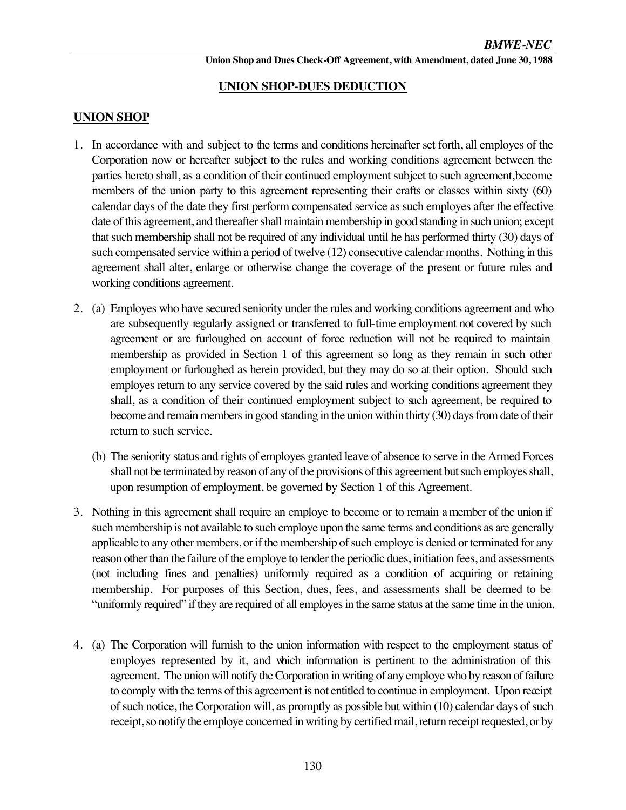# **UNION SHOP-DUES DEDUCTION**

# **UNION SHOP**

- 1. In accordance with and subject to the terms and conditions hereinafter set forth, all employes of the Corporation now or hereafter subject to the rules and working conditions agreement between the parties hereto shall, as a condition of their continued employment subject to such agreement, become members of the union party to this agreement representing their crafts or classes within sixty (60) calendar days of the date they first perform compensated service as such employes after the effective date of this agreement, and thereafter shall maintain membership in good standing in such union; except that such membership shall not be required of any individual until he has performed thirty (30) days of such compensated service within a period of twelve (12) consecutive calendar months. Nothing in this agreement shall alter, enlarge or otherwise change the coverage of the present or future rules and working conditions agreement.
- 2. (a) Employes who have secured seniority under the rules and working conditions agreement and who are subsequently regularly assigned or transferred to full-time employment not covered by such agreement or are furloughed on account of force reduction will not be required to maintain membership as provided in Section 1 of this agreement so long as they remain in such other employment or furloughed as herein provided, but they may do so at their option. Should such employes return to any service covered by the said rules and working conditions agreement they shall, as a condition of their continued employment subject to such agreement, be required to become and remain members in good standing in the union within thirty (30) days from date of their return to such service.
	- (b) The seniority status and rights of employes granted leave of absence to serve in the Armed Forces shall not be terminated by reason of any of the provisions of this agreement but such employes shall, upon resumption of employment, be governed by Section 1 of this Agreement.
- 3. Nothing in this agreement shall require an employe to become or to remain a member of the union if such membership is not available to such employe upon the same terms and conditions as are generally applicable to any other members, or if the membership of such employe is denied or terminated for any reason other than the failure of the employe to tender the periodic dues, initiation fees, and assessments (not including fines and penalties) uniformly required as a condition of acquiring or retaining membership. For purposes of this Section, dues, fees, and assessments shall be deemed to be "uniformly required" if they are required of all employes in the same status at the same time in the union.
- 4. (a) The Corporation will furnish to the union information with respect to the employment status of employes represented by it, and which information is pertinent to the administration of this agreement. The union will notify the Corporation in writing of any employe who by reason of failure to comply with the terms of this agreement is not entitled to continue in employment. Upon receipt of such notice, the Corporation will, as promptly as possible but within (10) calendar days of such receipt, so notify the employe concerned in writing by certified mail, return receipt requested, or by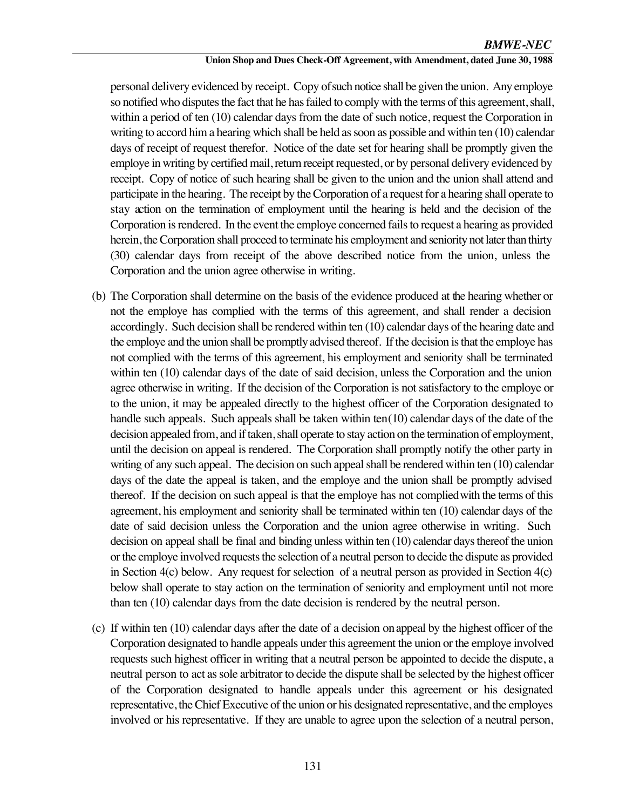## *BMWE-NEC*

#### **Union Shop and Dues Check-Off Agreement, with Amendment, dated June 30, 1988**

personal delivery evidenced by receipt. Copy of such notice shall be given the union. Any employe so notified who disputes the fact that he has failed to comply with the terms of this agreement, shall, within a period of ten (10) calendar days from the date of such notice, request the Corporation in writing to accord him a hearing which shall be held as soon as possible and within ten (10) calendar days of receipt of request therefor. Notice of the date set for hearing shall be promptly given the employe in writing by certified mail, return receipt requested, or by personal delivery evidenced by receipt. Copy of notice of such hearing shall be given to the union and the union shall attend and participate in the hearing. The receipt by the Corporation of a request for a hearing shall operate to stay action on the termination of employment until the hearing is held and the decision of the Corporation is rendered. In the event the employe concerned fails to request a hearing as provided herein, the Corporation shall proceed to terminate his employment and seniority not later than thirty (30) calendar days from receipt of the above described notice from the union, unless the Corporation and the union agree otherwise in writing.

- (b) The Corporation shall determine on the basis of the evidence produced at the hearing whether or not the employe has complied with the terms of this agreement, and shall render a decision accordingly. Such decision shall be rendered within ten (10) calendar days of the hearing date and the employe and the union shall be promptly advised thereof. If the decision is that the employe has not complied with the terms of this agreement, his employment and seniority shall be terminated within ten (10) calendar days of the date of said decision, unless the Corporation and the union agree otherwise in writing. If the decision of the Corporation is not satisfactory to the employe or to the union, it may be appealed directly to the highest officer of the Corporation designated to handle such appeals. Such appeals shall be taken within ten (10) calendar days of the date of the decision appealed from, and if taken, shall operate to stay action on the termination of employment, until the decision on appeal is rendered. The Corporation shall promptly notify the other party in writing of any such appeal. The decision on such appeal shall be rendered within ten (10) calendar days of the date the appeal is taken, and the employe and the union shall be promptly advised thereof. If the decision on such appeal is that the employe has not complied with the terms of this agreement, his employment and seniority shall be terminated within ten (10) calendar days of the date of said decision unless the Corporation and the union agree otherwise in writing. Such decision on appeal shall be final and binding unless within ten (10) calendar days thereof the union or the employe involved requests the selection of a neutral person to decide the dispute as provided in Section  $4(c)$  below. Any request for selection of a neutral person as provided in Section  $4(c)$ below shall operate to stay action on the termination of seniority and employment until not more than ten (10) calendar days from the date decision is rendered by the neutral person.
- (c) If within ten (10) calendar days after the date of a decision on appeal by the highest officer of the Corporation designated to handle appeals under this agreement the union or the employe involved requests such highest officer in writing that a neutral person be appointed to decide the dispute, a neutral person to act as sole arbitrator to decide the dispute shall be selected by the highest officer of the Corporation designated to handle appeals under this agreement or his designated representative, the Chief Executive of the union or his designated representative, and the employes involved or his representative. If they are unable to agree upon the selection of a neutral person,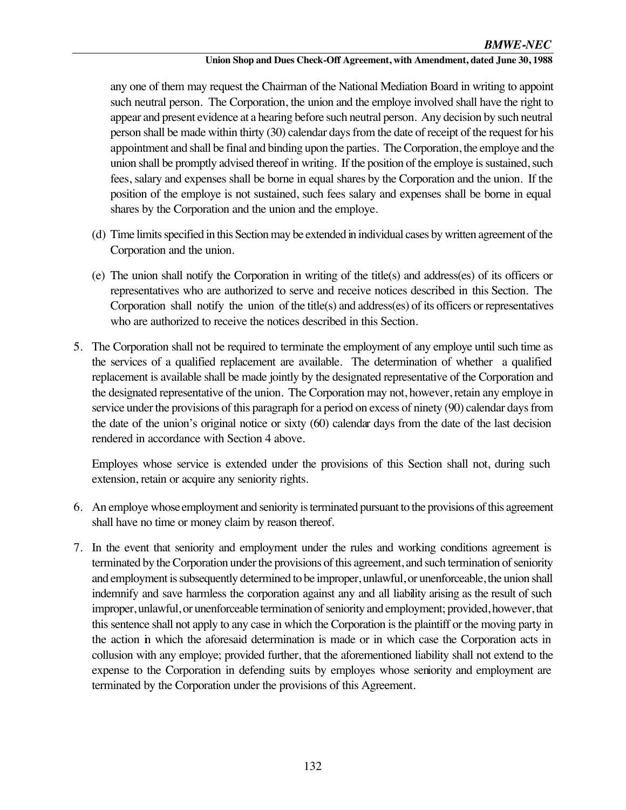#### **Union Shop and Dues Check-Off Agreement, with Amendment, dated June 30, 1988**

any one of them may request the Chairman of the National Mediation Board in writing to appoint such neutral person. The Corporation, the union and the employe involved shall have the right to appear and present evidence at a hearing before such neutral person. Any decision by such neutral person shall be made within thirty (30) calendar days from the date of receipt of the request for his appointment and shall be final and binding upon the parties. The Corporation, the employe and the union shall be promptly advised thereof in writing. If the position of the employe is sustained, such fees, salary and expenses shall be borne in equal shares by the Corporation and the union. If the position of the employe is not sustained, such fees salary and expenses shall be borne in equal shares by the Corporation and the union and the employe.

- (d) Time limits specified in this Section may be extended in individual cases by written agreement of the Corporation and the union.
- (e) The union shall notify the Corporation in writing of the title(s) and address(es) of its officers or representatives who are authorized to serve and receive notices described in this Section. The Corporation shall notify the union of the title(s) and address(es) of its officers or representatives who are authorized to receive the notices described in this Section.
- 5. The Corporation shall not be required to terminate the employment of any employe until such time as the services of a qualified replacement are available. The determination of whether a qualified replacement is available shall be made jointly by the designated representative of the Corporation and the designated representative of the union. The Corporation may not, however, retain any employe in service under the provisions of this paragraph for a period on excess of ninety (90) calendar days from the date of the union's original notice or sixty (60) calendar days from the date of the last decision rendered in accordance with Section 4 above.

Employes whose service is extended under the provisions of this Section shall not, during such extension, retain or acquire any seniority rights.

- 6. An employe whose employment and seniority is terminated pursuant to the provisions of this agreement shall have no time or money claim by reason thereof.
- 7. In the event that seniority and employment under the rules and working conditions agreement is terminated by the Corporation under the provisions of this agreement, and such termination of seniority and employment is subsequently determined to be improper, unlawful, or unenforceable, the union shall indemnify and save harmless the corporation against any and all liability arising as the result of such improper, unlawful, or unenforceable termination of seniority and employment; provided, however, that this sentence shall not apply to any case in which the Corporation is the plaintiff or the moving party in the action in which the aforesaid determination is made or in which case the Corporation acts in collusion with any employe; provided further, that the aforementioned liability shall not extend to the expense to the Corporation in defending suits by employes whose seniority and employment are terminated by the Corporation under the provisions of this Agreement.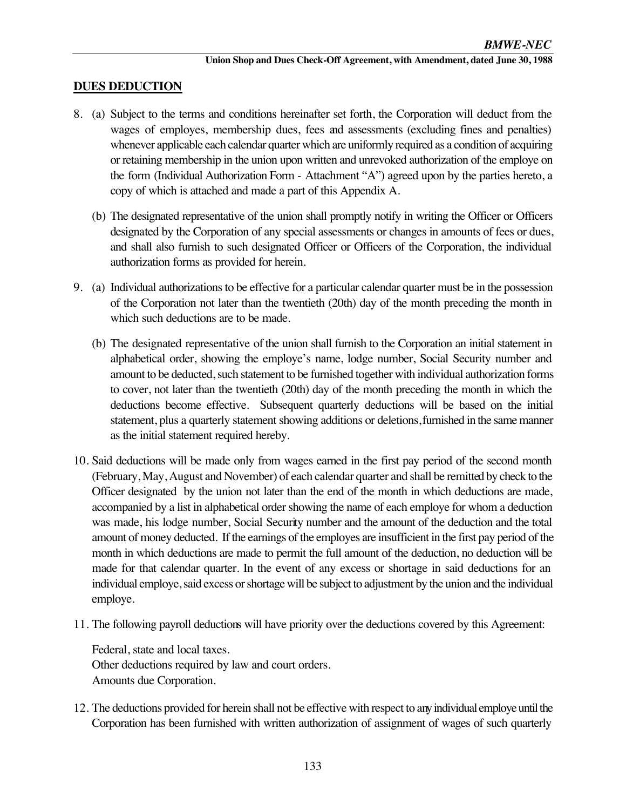# **DUES DEDUCTION**

- 8. (a) Subject to the terms and conditions hereinafter set forth, the Corporation will deduct from the wages of employes, membership dues, fees and assessments (excluding fines and penalties) whenever applicable each calendar quarter which are uniformly required as a condition of acquiring or retaining membership in the union upon written and unrevoked authorization of the employe on the form (Individual Authorization Form - Attachment "A") agreed upon by the parties hereto, a copy of which is attached and made a part of this Appendix A.
	- (b) The designated representative of the union shall promptly notify in writing the Officer or Officers designated by the Corporation of any special assessments or changes in amounts of fees or dues, and shall also furnish to such designated Officer or Officers of the Corporation, the individual authorization forms as provided for herein.
- 9. (a) Individual authorizations to be effective for a particular calendar quarter must be in the possession of the Corporation not later than the twentieth (20th) day of the month preceding the month in which such deductions are to be made.
	- (b) The designated representative of the union shall furnish to the Corporation an initial statement in alphabetical order, showing the employe's name, lodge number, Social Security number and amount to be deducted, such statement to be furnished together with individual authorization forms to cover, not later than the twentieth (20th) day of the month preceding the month in which the deductions become effective. Subsequent quarterly deductions will be based on the initial statement, plus a quarterly statement showing additions or deletions, furnished in the same manner as the initial statement required hereby.
- 10. Said deductions will be made only from wages earned in the first pay period of the second month (February, May, August and November) of each calendar quarter and shall be remitted by check to the Officer designated by the union not later than the end of the month in which deductions are made, accompanied by a list in alphabetical order showing the name of each employe for whom a deduction was made, his lodge number, Social Security number and the amount of the deduction and the total amount of money deducted. If the earnings of the employes are insufficient in the first pay period of the month in which deductions are made to permit the full amount of the deduction, no deduction will be made for that calendar quarter. In the event of any excess or shortage in said deductions for an individual employe, said excess or shortage will be subject to adjustment by the union and the individual employe.
- 11. The following payroll deductions will have priority over the deductions covered by this Agreement:

Federal, state and local taxes. Other deductions required by law and court orders. Amounts due Corporation.

12. The deductions provided for herein shall not be effective with respect to any individual employe until the Corporation has been furnished with written authorization of assignment of wages of such quarterly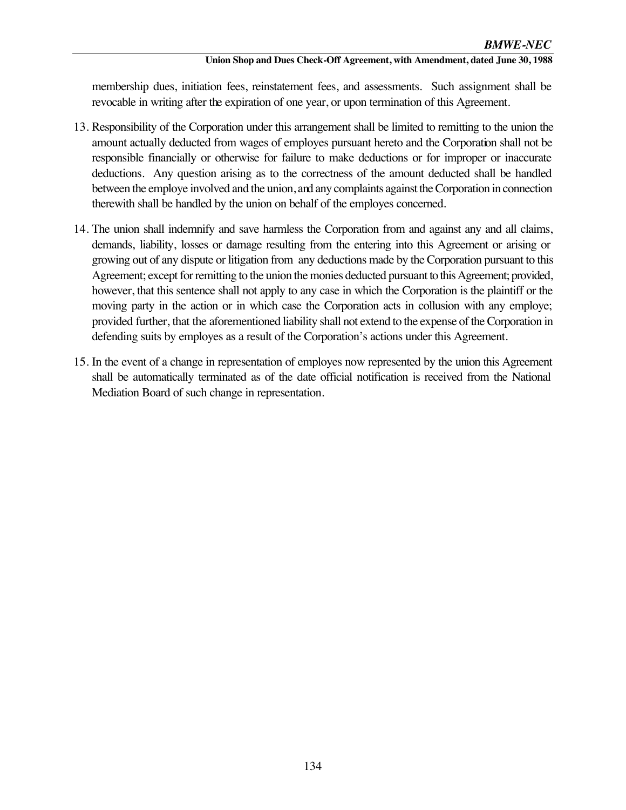#### **Union Shop and Dues Check-Off Agreement, with Amendment, dated June 30, 1988**

membership dues, initiation fees, reinstatement fees, and assessments. Such assignment shall be revocable in writing after the expiration of one year, or upon termination of this Agreement.

- 13. Responsibility of the Corporation under this arrangement shall be limited to remitting to the union the amount actually deducted from wages of employes pursuant hereto and the Corporation shall not be responsible financially or otherwise for failure to make deductions or for improper or inaccurate deductions. Any question arising as to the correctness of the amount deducted shall be handled between the employe involved and the union, and any complaints against the Corporation in connection therewith shall be handled by the union on behalf of the employes concerned.
- 14. The union shall indemnify and save harmless the Corporation from and against any and all claims, demands, liability, losses or damage resulting from the entering into this Agreement or arising or growing out of any dispute or litigation from any deductions made by the Corporation pursuant to this Agreement; except for remitting to the union the monies deducted pursuant to this Agreement; provided, however, that this sentence shall not apply to any case in which the Corporation is the plaintiff or the moving party in the action or in which case the Corporation acts in collusion with any employe; provided further, that the aforementioned liability shall not extend to the expense of the Corporation in defending suits by employes as a result of the Corporation's actions under this Agreement.
- 15. In the event of a change in representation of employes now represented by the union this Agreement shall be automatically terminated as of the date official notification is received from the National Mediation Board of such change in representation.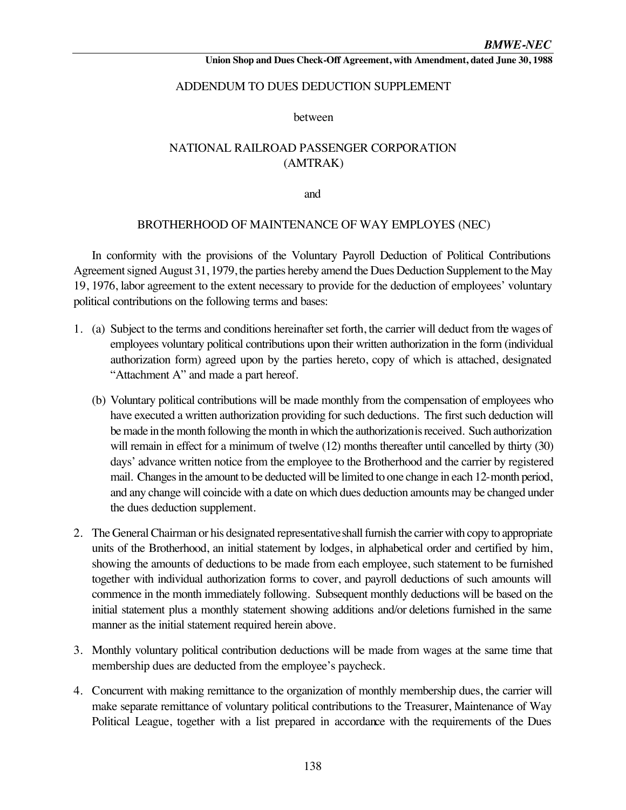### ADDENDUM TO DUES DEDUCTION SUPPLEMENT

between

# NATIONAL RAILROAD PASSENGER CORPORATION (AMTRAK)

and

#### BROTHERHOOD OF MAINTENANCE OF WAY EMPLOYES (NEC)

In conformity with the provisions of the Voluntary Payroll Deduction of Political Contributions Agreement signed August 31, 1979, the parties hereby amend the Dues Deduction Supplement to the May 19, 1976, labor agreement to the extent necessary to provide for the deduction of employees' voluntary political contributions on the following terms and bases:

- 1. (a) Subject to the terms and conditions hereinafter set forth, the carrier will deduct from the wages of employees voluntary political contributions upon their written authorization in the form (individual authorization form) agreed upon by the parties hereto, copy of which is attached, designated "Attachment A" and made a part hereof.
	- (b) Voluntary political contributions will be made monthly from the compensation of employees who have executed a written authorization providing for such deductions. The first such deduction will be made in the month following the month in which the authorization is received. Such authorization will remain in effect for a minimum of twelve (12) months thereafter until cancelled by thirty (30) days' advance written notice from the employee to the Brotherhood and the carrier by registered mail. Changes in the amount to be deducted will be limited to one change in each 12-month period, and any change will coincide with a date on which dues deduction amounts may be changed under the dues deduction supplement.
- 2. The General Chairman or his designated representative shall furnish the carrier with copy to appropriate units of the Brotherhood, an initial statement by lodges, in alphabetical order and certified by him, showing the amounts of deductions to be made from each employee, such statement to be furnished together with individual authorization forms to cover, and payroll deductions of such amounts will commence in the month immediately following. Subsequent monthly deductions will be based on the initial statement plus a monthly statement showing additions and/or deletions furnished in the same manner as the initial statement required herein above.
- 3. Monthly voluntary political contribution deductions will be made from wages at the same time that membership dues are deducted from the employee's paycheck.
- 4. Concurrent with making remittance to the organization of monthly membership dues, the carrier will make separate remittance of voluntary political contributions to the Treasurer, Maintenance of Way Political League, together with a list prepared in accordance with the requirements of the Dues